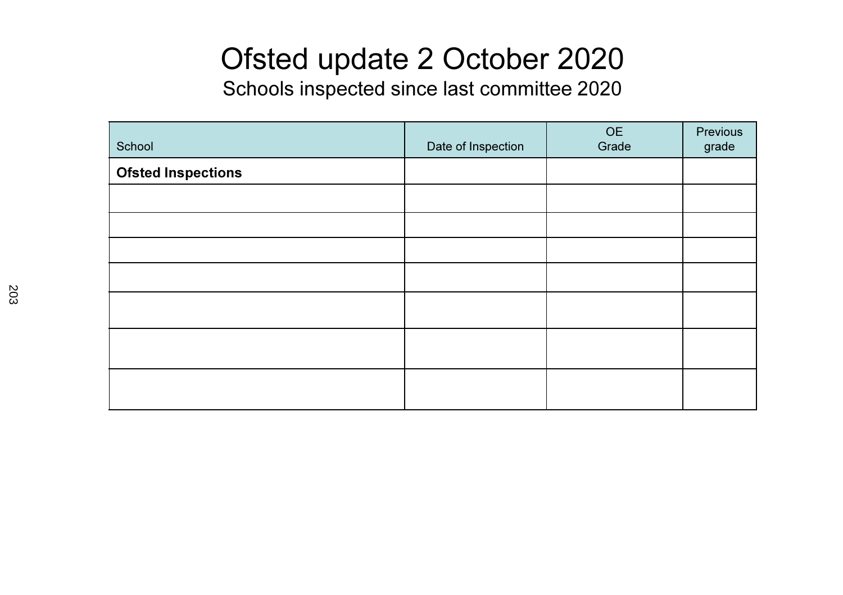## Ofsted update 2 October 2020

Schools inspected since last committee 2020

| School                    | Date of Inspection | OE<br>Grade | Previous<br>grade |
|---------------------------|--------------------|-------------|-------------------|
| <b>Ofsted Inspections</b> |                    |             |                   |
|                           |                    |             |                   |
|                           |                    |             |                   |
|                           |                    |             |                   |
|                           |                    |             |                   |
|                           |                    |             |                   |
|                           |                    |             |                   |
|                           |                    |             |                   |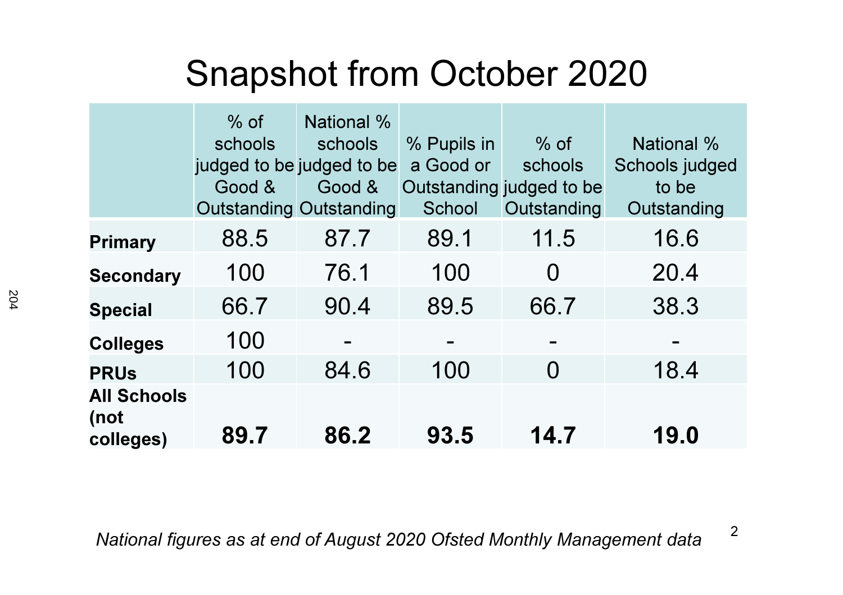## Snapshot from October 2020

|                                         | $%$ of<br>schools<br>judged to be judged to be<br>Good &<br><b>Outstanding Outstanding</b> | <b>National %</b><br>schools<br>Good & | % Pupils in<br>a Good or<br>School | $%$ of<br>schools<br>Outstanding judged to be<br>Outstanding | <b>National %</b><br>Schools judged<br>to be<br>Outstanding |
|-----------------------------------------|--------------------------------------------------------------------------------------------|----------------------------------------|------------------------------------|--------------------------------------------------------------|-------------------------------------------------------------|
| <b>Primary</b>                          | 88.5                                                                                       | 87.7                                   | 89.1                               | 11.5                                                         | 16.6                                                        |
| <b>Secondary</b>                        | 100                                                                                        | 76.1                                   | 100                                | $\Omega$                                                     | 20.4                                                        |
| <b>Special</b>                          | 66.7                                                                                       | 90.4                                   | 89.5                               | 66.7                                                         | 38.3                                                        |
| <b>Colleges</b>                         | 100                                                                                        |                                        |                                    |                                                              |                                                             |
| <b>PRUs</b>                             | 100                                                                                        | 84.6                                   | 100                                | $\Omega$                                                     | 18.4                                                        |
| <b>All Schools</b><br>(not<br>colleges) | 89.7                                                                                       | 86.2                                   | 93.5                               | 14.7                                                         | 19.0                                                        |

2National figures as at end of August 2020 Ofsted Monthly Management data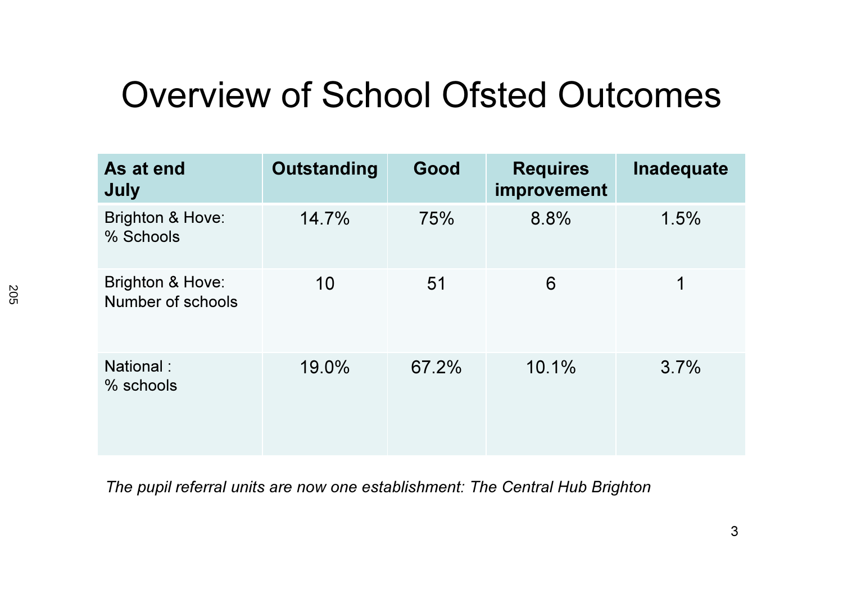## Overview of School Ofsted Outcomes

| As at end<br>July                     | Outstanding | Good  | <b>Requires</b><br>improvement | Inadequate |
|---------------------------------------|-------------|-------|--------------------------------|------------|
| Brighton & Hove:<br>% Schools         | 14.7%       | 75%   | 8.8%                           | 1.5%       |
| Brighton & Hove:<br>Number of schools | 10          | 51    | 6                              | 1          |
| National:<br>% schools                | 19.0%       | 67.2% | 10.1%                          | 3.7%       |

The pupil referral units are now one establishment: The Central Hub Brighton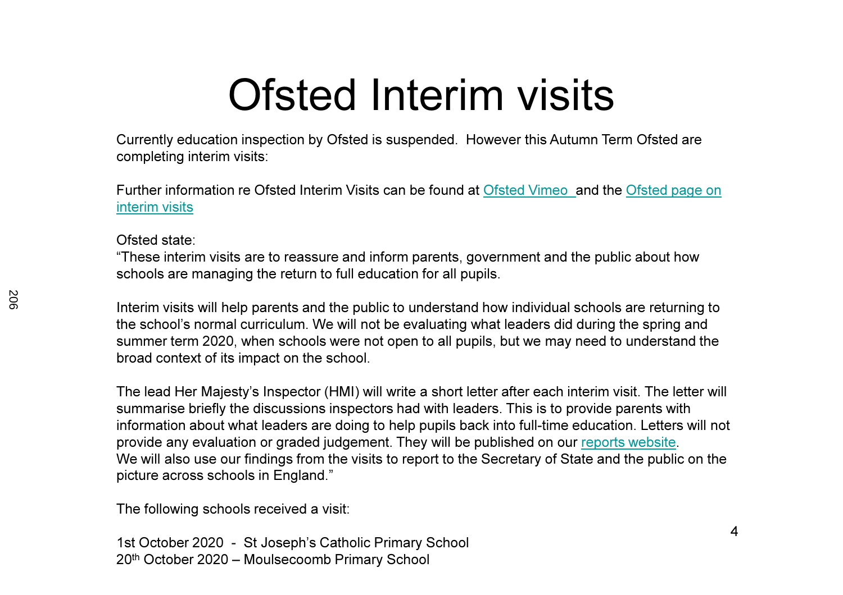# Ofsted Interim visits

 Currently education inspection by Ofsted is suspended. However this Autumn Term Ofsted are completing interim visits:

Further information re Ofsted Interim Visits can be found at Ofsted Vimeo and the Ofsted page on interim visits

#### Ofsted state:

"These interim visits are to reassure and inform parents, government and the public about how schools are managing the return to full education for all pupils.

Interim visits will help parents and the public to understand how individual schools are returning to the school's normal curriculum. We will not be evaluating what leaders did during the spring and summer term 2020, when schools were not open to all pupils, but we may need to understand the broad context of its impact on the school.

The lead Her Majesty's Inspector (HMI) will write a short letter after each interim visit. The letter will summarise briefly the discussions inspectors had with leaders. This is to provide parents with information about what leaders are doing to help pupils back into full-time education. Letters will not provide any evaluation or graded judgement. They will be published on our reports website.We will also use our findings from the visits to report to the Secretary of State and the public on the picture across schools in England."

The following schools received a visit:

1st October 2020 - St Joseph's Catholic Primary School20th October 2020 – Moulsecoomb Primary School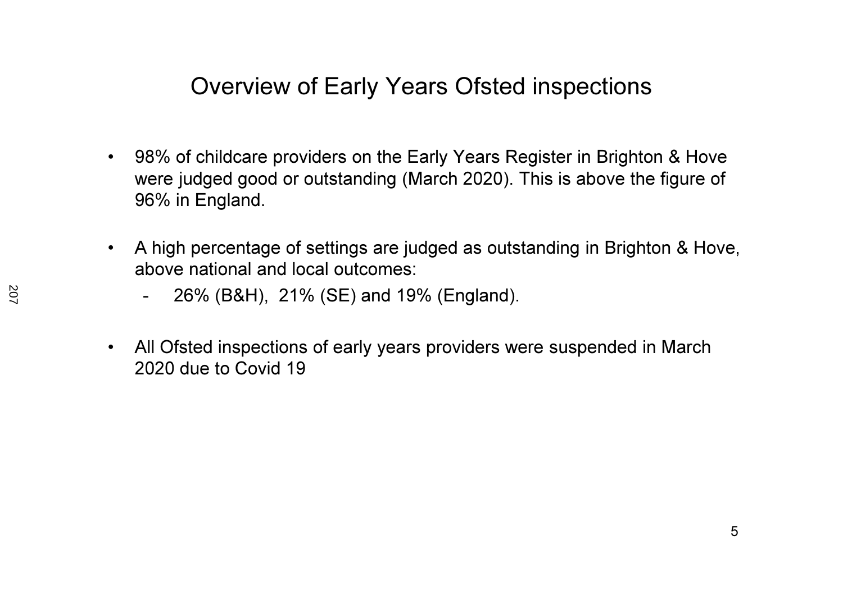### Overview of Early Years Ofsted inspections

- 98% of childcare providers on the Early Years Register in Brighton & Hove were judged good or outstanding (March 2020). This is above the figure of 96% in England.
- $\bullet$  A high percentage of settings are judged as outstanding in Brighton & Hove, above national and local outcomes:
	- -26% (B&H), 21% (SE) and 19% (England).
- • All Ofsted inspections of early years providers were suspended in March 2020 due to Covid 19